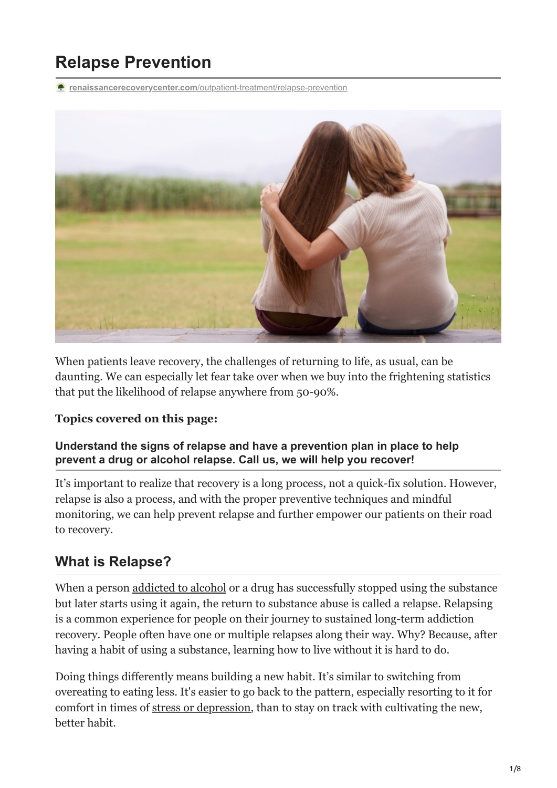# **Relapse Prevention**

**renaissancerecoverycenter.com**[/outpatient-treatment/relapse-prevention](https://www.renaissancerecoverycenter.com/outpatient-treatment/relapse-prevention/)



When patients leave recovery, the challenges of returning to life, as usual, can be daunting. We can especially let fear take over when we buy into the frightening statistics that put the likelihood of relapse anywhere from 50-90%.

#### **Topics covered on this page:**

#### **Understand the signs of relapse and have a prevention plan in place to help prevent a drug or alcohol relapse. Call us, we will help you recover!**

It's important to realize that recovery is a long process, not a quick-fix solution. However, relapse is also a process, and with the proper preventive techniques and mindful monitoring, we can help prevent relapse and further empower our patients on their road to recovery.

## **What is Relapse?**

When a person [addicted to alcohol](https://www.renaissancerecoverycenter.com/3-tips-to-avoid-alcohol-use-in-social-settings-for-those-in-alcohol-rehabilitation/) or a drug has successfully stopped using the substance but later starts using it again, the return to substance abuse is called a relapse. Relapsing is a common experience for people on their journey to sustained long-term addiction recovery. People often have one or multiple relapses along their way. Why? Because, after having a habit of using a substance, learning how to live without it is hard to do.

Doing things differently means building a new habit. It's similar to switching from overeating to eating less. It's easier to go back to the pattern, especially resorting to it for comfort in times of [stress or depression](https://www.renaissancerecoverycenter.com/stress-management/), than to stay on track with cultivating the new, better habit.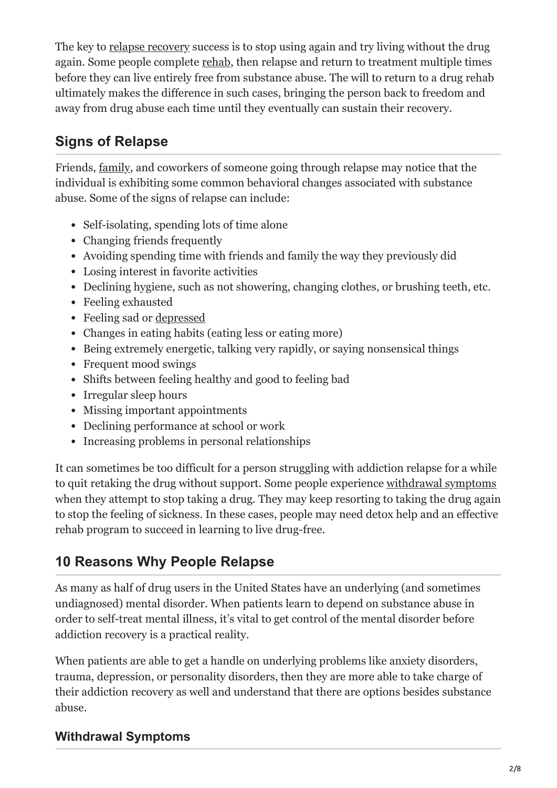The key to [relapse recovery](https://www.renaissancerecoverycenter.com/addiction-treatment-center-in-arizona/) success is to stop using again and try living without the drug again. Some people complete [rehab,](https://www.renaissancerecoverycenter.com/arizona-drug-rehabilitation/) then relapse and return to treatment multiple times before they can live entirely free from substance abuse. The will to return to a drug rehab ultimately makes the difference in such cases, bringing the person back to freedom and away from drug abuse each time until they eventually can sustain their recovery.

# **Signs of Relapse**

Friends, [family](https://www.renaissancerecoverycenter.com/family-program/), and coworkers of someone going through relapse may notice that the individual is exhibiting some common behavioral changes associated with substance abuse. Some of the signs of relapse can include:

- Self-isolating, spending lots of time alone
- Changing friends frequently
- Avoiding spending time with friends and family the way they previously did
- Losing interest in favorite activities
- Declining hygiene, such as not showering, changing clothes, or brushing teeth, etc.
- Feeling exhausted
- Feeling sad or [depressed](https://www.renaissancerecoverycenter.com/mental-health-and-dual-diagnosis/)
- Changes in eating habits (eating less or eating more)
- Being extremely energetic, talking very rapidly, or saying nonsensical things
- Frequent mood swings
- Shifts between feeling healthy and good to feeling bad
- Irregular sleep hours
- Missing important appointments
- Declining performance at school or work
- Increasing problems in personal relationships

It can sometimes be too difficult for a person struggling with addiction relapse for a while to quit retaking the drug without support. Some people experience [withdrawal symptoms](https://www.renaissancerecoverycenter.com/detox/) when they attempt to stop taking a drug. They may keep resorting to taking the drug again to stop the feeling of sickness. In these cases, people may need detox help and an effective rehab program to succeed in learning to live drug-free.

# **10 Reasons Why People Relapse**

As many as half of drug users in the United States have an underlying (and sometimes undiagnosed) mental disorder. When patients learn to depend on substance abuse in order to self-treat mental illness, it's vital to get control of the mental disorder before addiction recovery is a practical reality.

When patients are able to get a handle on underlying problems like anxiety disorders, trauma, depression, or personality disorders, then they are more able to take charge of their addiction recovery as well and understand that there are options besides substance abuse.

#### **Withdrawal Symptoms**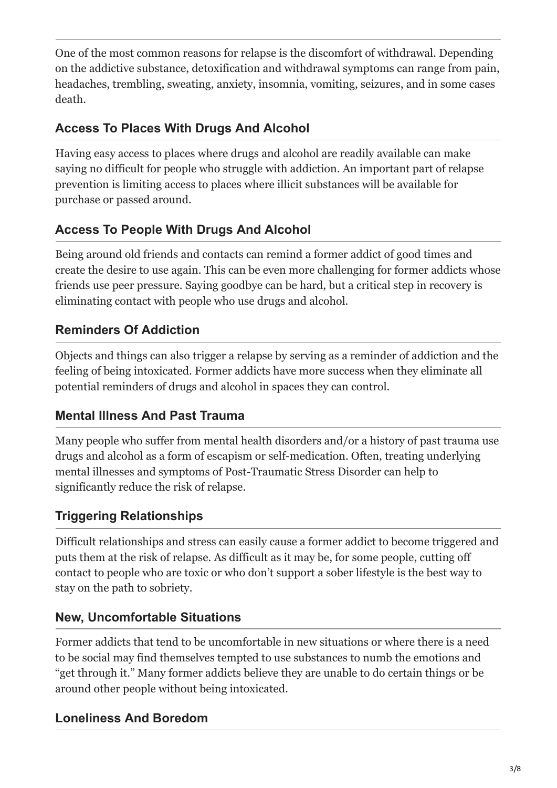One of the most common reasons for relapse is the discomfort of withdrawal. Depending on the addictive substance, detoxification and withdrawal symptoms can range from pain, headaches, trembling, sweating, anxiety, insomnia, vomiting, seizures, and in some cases death.

#### **Access To Places With Drugs And Alcohol**

Having easy access to places where drugs and alcohol are readily available can make saying no difficult for people who struggle with addiction. An important part of relapse prevention is limiting access to places where illicit substances will be available for purchase or passed around.

#### **Access To People With Drugs And Alcohol**

Being around old friends and contacts can remind a former addict of good times and create the desire to use again. This can be even more challenging for former addicts whose friends use peer pressure. Saying goodbye can be hard, but a critical step in recovery is eliminating contact with people who use drugs and alcohol.

#### **Reminders Of Addiction**

Objects and things can also trigger a relapse by serving as a reminder of addiction and the feeling of being intoxicated. Former addicts have more success when they eliminate all potential reminders of drugs and alcohol in spaces they can control.

#### **Mental Illness And Past Trauma**

Many people who suffer from mental health disorders and/or a history of past trauma use drugs and alcohol as a form of escapism or self-medication. Often, treating underlying mental illnesses and symptoms of Post-Traumatic Stress Disorder can help to significantly reduce the risk of relapse.

#### **Triggering Relationships**

Difficult relationships and stress can easily cause a former addict to become triggered and puts them at the risk of relapse. As difficult as it may be, for some people, cutting off contact to people who are toxic or who don't support a sober lifestyle is the best way to stay on the path to sobriety.

#### **New, Uncomfortable Situations**

Former addicts that tend to be uncomfortable in new situations or where there is a need to be social may find themselves tempted to use substances to numb the emotions and "get through it." Many former addicts believe they are unable to do certain things or be around other people without being intoxicated.

#### **Loneliness And Boredom**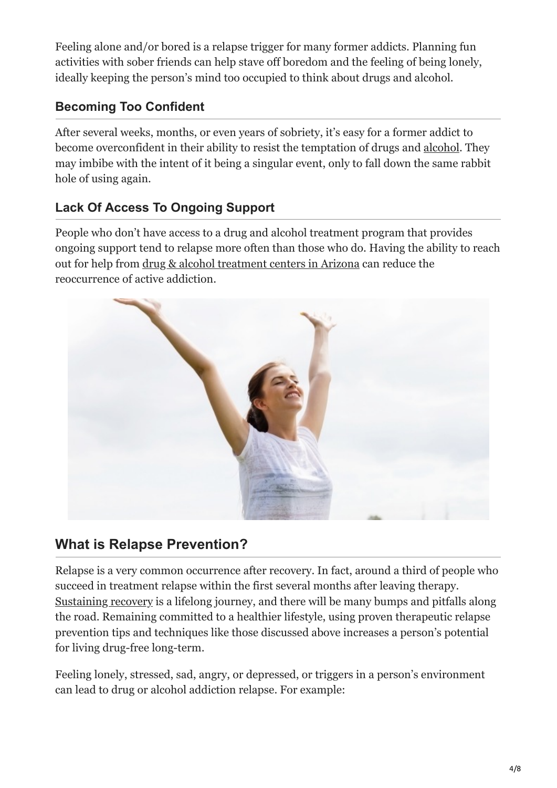Feeling alone and/or bored is a relapse trigger for many former addicts. Planning fun activities with sober friends can help stave off boredom and the feeling of being lonely, ideally keeping the person's mind too occupied to think about drugs and alcohol.

#### **Becoming Too Confident**

After several weeks, months, or even years of sobriety, it's easy for a former addict to become overconfident in their ability to resist the temptation of drugs and [alcohol](https://www.renaissancerecoverycenter.com/addiction/alcohol-addiction/). They may imbibe with the intent of it being a singular event, only to fall down the same rabbit hole of using again.

#### **Lack Of Access To Ongoing Support**

People who don't have access to a drug and alcohol treatment program that provides ongoing support tend to relapse more often than those who do. Having the ability to reach out for help from [drug & alcohol treatment centers in Arizona](https://www.renaissancerecoverycenter.com/outpatient-treatment/) can reduce the reoccurrence of active addiction.



## **What is Relapse Prevention?**

Relapse is a very common occurrence after recovery. In fact, around a third of people who succeed in treatment relapse within the first several months after leaving therapy. Sustaining recovery is a lifelong journey, and there will be many bumps and pitfalls along the road. Remaining committed to a healthier lifestyle, using proven therapeutic relapse prevention tips and techniques like those discussed above increases a person's potential for living drug-free long-term.

Feeling lonely, stressed, sad, angry, or depressed, or triggers in a person's environment can lead to drug or alcohol addiction relapse. For example: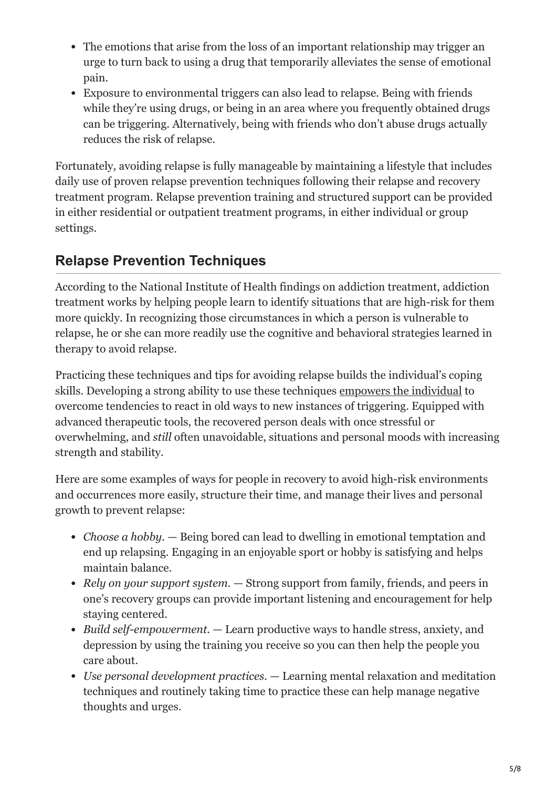- The emotions that arise from the loss of an important relationship may trigger an urge to turn back to using a drug that temporarily alleviates the sense of emotional pain.
- Exposure to environmental triggers can also lead to relapse. Being with friends while they're using drugs, or being in an area where you frequently obtained drugs can be triggering. Alternatively, being with friends who don't abuse drugs actually reduces the risk of relapse.

Fortunately, avoiding relapse is fully manageable by maintaining a lifestyle that includes daily use of proven relapse prevention techniques following their relapse and recovery treatment program. Relapse prevention training and structured support can be provided in either residential or outpatient treatment programs, in either individual or group settings.

## **Relapse Prevention Techniques**

According to the National Institute of Health findings on addiction treatment, addiction treatment works by helping people learn to identify situations that are high-risk for them more quickly. In recognizing those circumstances in which a person is vulnerable to relapse, he or she can more readily use the cognitive and behavioral strategies learned in therapy to avoid relapse.

Practicing these techniques and tips for avoiding relapse builds the individual's coping skills. Developing a strong ability to use these techniques [empowers the individual](https://www.renaissancerecoverycenter.com/how-to-manage-your-fear-of-relapse/) to overcome tendencies to react in old ways to new instances of triggering. Equipped with advanced therapeutic tools, the recovered person deals with once stressful or overwhelming, and *still* often unavoidable, situations and personal moods with increasing strength and stability.

Here are some examples of ways for people in recovery to avoid high-risk environments and occurrences more easily, structure their time, and manage their lives and personal growth to prevent relapse:

- *Choose a hobby.*  Being bored can lead to dwelling in emotional temptation and end up relapsing. Engaging in an enjoyable sport or hobby is satisfying and helps maintain balance.
- *Rely on your support system.* Strong support from family, friends, and peers in one's recovery groups can provide important listening and encouragement for help staying centered.
- *Build self-empowerment.*  Learn productive ways to handle stress, anxiety, and depression by using the training you receive so you can then help the people you care about.
- *Use personal development practices.* Learning mental relaxation and meditation techniques and routinely taking time to practice these can help manage negative thoughts and urges.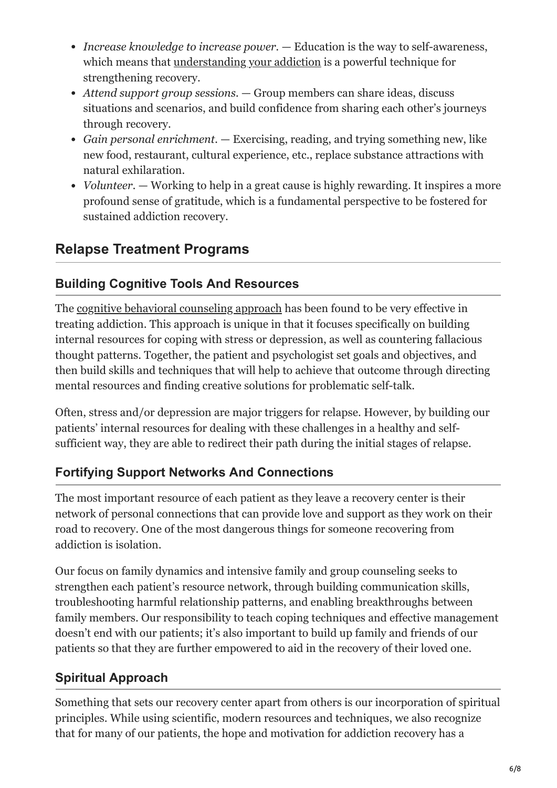- *Increase knowledge to increase power.* Education is the way to self-awareness, which means that [understanding your addiction](https://www.renaissancerecoverycenter.com/podcast-on-addiction/) is a powerful technique for strengthening recovery.
- *Attend support group sessions.* Group members can share ideas, discuss situations and scenarios, and build confidence from sharing each other's journeys through recovery.
- *Gain personal enrichment.* Exercising, reading, and trying something new, like new food, restaurant, cultural experience, etc., replace substance attractions with natural exhilaration.
- *Volunteer.* Working to help in a great cause is highly rewarding. It inspires a more profound sense of gratitude, which is a fundamental perspective to be fostered for sustained addiction recovery.

# **Relapse Treatment Programs**

#### **Building Cognitive Tools And Resources**

The [cognitive behavioral counseling approach](https://www.renaissancerecoverycenter.com/outpatient-treatment/cognitive-behavioral-therapy/) has been found to be very effective in treating addiction. This approach is unique in that it focuses specifically on building internal resources for coping with stress or depression, as well as countering fallacious thought patterns. Together, the patient and psychologist set goals and objectives, and then build skills and techniques that will help to achieve that outcome through directing mental resources and finding creative solutions for problematic self-talk.

Often, stress and/or depression are major triggers for relapse. However, by building our patients' internal resources for dealing with these challenges in a healthy and selfsufficient way, they are able to redirect their path during the initial stages of relapse.

#### **Fortifying Support Networks And Connections**

The most important resource of each patient as they leave a recovery center is their network of personal connections that can provide love and support as they work on their road to recovery. One of the most dangerous things for someone recovering from addiction is isolation.

Our focus on family dynamics and intensive family and group counseling seeks to strengthen each patient's resource network, through building communication skills, troubleshooting harmful relationship patterns, and enabling breakthroughs between family members. Our responsibility to teach coping techniques and effective management doesn't end with our patients; it's also important to build up family and friends of our patients so that they are further empowered to aid in the recovery of their loved one.

## **Spiritual Approach**

Something that sets our recovery center apart from others is our incorporation of spiritual principles. While using scientific, modern resources and techniques, we also recognize that for many of our patients, the hope and motivation for addiction recovery has a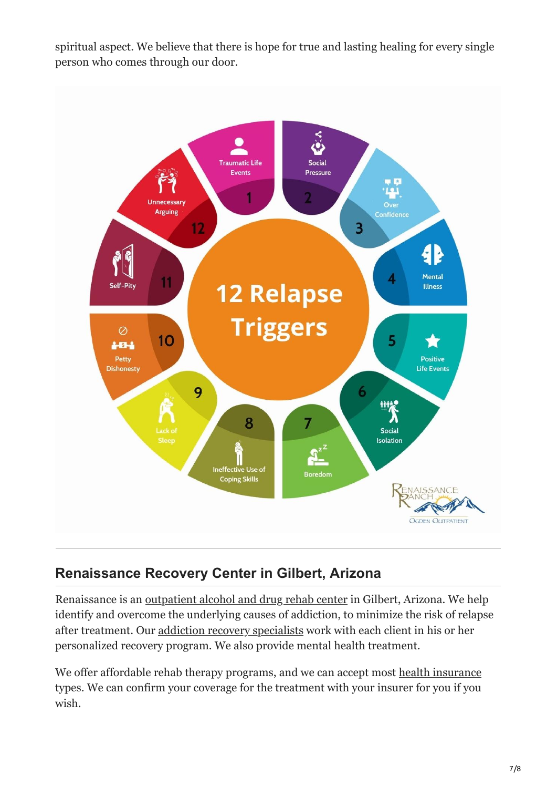spiritual aspect. We believe that there is hope for true and lasting healing for every single person who comes through our door.



# **Renaissance Recovery Center in Gilbert, Arizona**

Renaissance is an [outpatient alcohol and drug rehab center](https://www.renaissancerecoverycenter.com/about-us/the-renaissance-recovery-difference/) in Gilbert, Arizona. We help identify and overcome the underlying causes of addiction, to minimize the risk of relapse after treatment. Our [addiction recovery specialists](https://www.renaissancerecoverycenter.com/staff/) work with each client in his or her personalized recovery program. We also provide mental health treatment.

We offer affordable rehab therapy programs, and we can accept most [health insurance](https://www.renaissancerecoverycenter.com/insurance-coverage-for-addiction-treatment/) types. We can confirm your coverage for the treatment with your insurer for you if you wish.